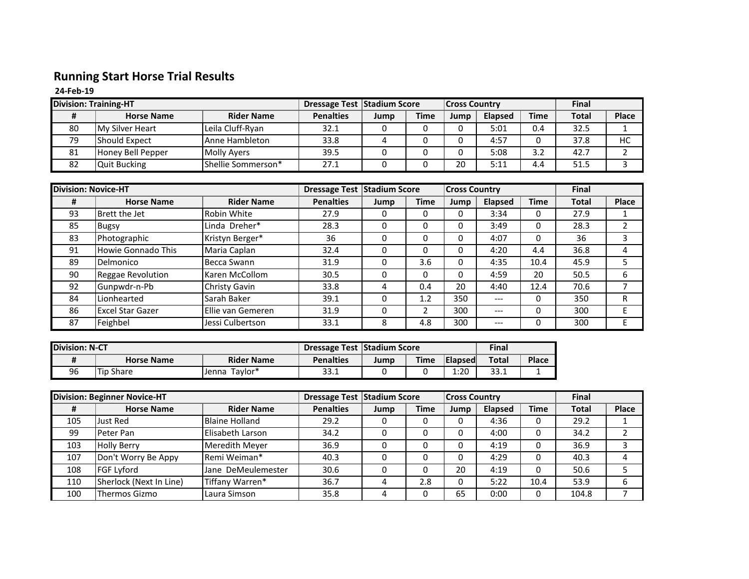## **Running Start Horse Trial Results**

**24-Feb-19**

| <b>Division: Training-HT</b> |                        | Dressage Test Stadium Score |                  |      | <b>Cross Country</b> |      |                | Final       |              |              |
|------------------------------|------------------------|-----------------------------|------------------|------|----------------------|------|----------------|-------------|--------------|--------------|
|                              | <b>Horse Name</b>      | <b>Rider Name</b>           | <b>Penalties</b> | Jump | <b>Time</b>          | Jump | <b>Elapsed</b> | <b>Time</b> | <b>Total</b> | <b>Place</b> |
| 80                           | <b>My Silver Heart</b> | Leila Cluff-Ryan            | 32.1             |      |                      |      | 5:01           | 0.4         | 32.5         |              |
| 79                           | Should Expect          | Anne Hambleton              | 33.8             |      |                      |      | 4:57           |             | 37.8         | НC           |
| 81                           | Honey Bell Pepper      | <b>Molly Avers</b>          | 39.5             |      |                      |      | 5:08           | 3.2         | 42.7         |              |
| 82                           | <b>Quit Bucking</b>    | <b>I</b> Shellie Sommerson* | 27.1             |      |                      | 20   | 5:11           | 4.4         | 51.5         |              |

| <b>Division: Novice-HT</b> |                           |                   |                  | <b>Dressage Test Stadium Score</b> |             |      | <b>Cross Country</b> |             |              |              |
|----------------------------|---------------------------|-------------------|------------------|------------------------------------|-------------|------|----------------------|-------------|--------------|--------------|
| Ħ                          | <b>Horse Name</b>         | <b>Rider Name</b> | <b>Penalties</b> | Jump                               | <b>Time</b> | Jump | Elapsed              | <b>Time</b> | <b>Total</b> | <b>Place</b> |
| 93                         | Brett the Jet             | Robin White       | 27.9             | 0                                  | 0           | 0    | 3:34                 | 0           | 27.9         |              |
| 85                         | <b>Bugsy</b>              | Linda Dreher*     | 28.3             | 0                                  | 0           | 0    | 3:49                 | 0           | 28.3         |              |
| 83                         | Photographic              | Kristyn Berger*   | 36               | 0                                  | 0           | 0    | 4:07                 | 0           | 36           | 3            |
| 91                         | <b>Howie Gonnado This</b> | Maria Caplan      | 32.4             | 0                                  | 0           | 0    | 4:20                 | 4.4         | 36.8         | 4            |
| 89                         | Delmonico                 | Becca Swann       | 31.9             | 0                                  | 3.6         | 0    | 4:35                 | 10.4        | 45.9         |              |
| 90                         | Reggae Revolution         | Karen McCollom    | 30.5             | 0                                  | 0           | 0    | 4:59                 | 20          | 50.5         | 6            |
| 92                         | Gunpwdr-n-Pb              | Christy Gavin     | 33.8             | 4                                  | 0.4         | 20   | 4:40                 | 12.4        | 70.6         |              |
| 84                         | Lionhearted               | Sarah Baker       | 39.1             | 0                                  | 1.2         | 350  | $---$                | 0           | 350          | R            |
| 86                         | <b>Excel Star Gazer</b>   | Ellie van Gemeren | 31.9             | 0                                  |             | 300  | $---$                | 0           | 300          | Е            |
| 87                         | Feighbel                  | Jessi Culbertson  | 33.1             | 8                                  | 4.8         | 300  | $---$                | 0           | 300          | Е            |

| <b>Division: N-CT</b> |                                        | <b>Dressage Test Stadium Score</b> |                  |      |             | <b>Final</b>   |       |       |
|-----------------------|----------------------------------------|------------------------------------|------------------|------|-------------|----------------|-------|-------|
|                       | <b>Rider Name</b><br><b>Horse Name</b> |                                    | <b>Penalties</b> | Jump | <b>Time</b> | <b>Elapsed</b> | Total | Place |
| 96                    | Tip Share                              | Favlor*<br>Jenna                   | 33.1             |      |             | 1:20           | 33.1  |       |

| <b>Division: Beginner Novice-HT</b> |                         | Dressage Test Stadium Score |                  |      | <b>Cross Country</b> |      |         | <b>Final</b> |              |              |
|-------------------------------------|-------------------------|-----------------------------|------------------|------|----------------------|------|---------|--------------|--------------|--------------|
| #                                   | <b>Horse Name</b>       | <b>Rider Name</b>           | <b>Penalties</b> | Jump | <b>Time</b>          | Jump | Elapsed | <b>Time</b>  | <b>Total</b> | <b>Place</b> |
| 105                                 | Just Red                | <b>Blaine Holland</b>       | 29.2             |      |                      |      | 4:36    |              | 29.2         |              |
| 99                                  | <b>Peter Pan</b>        | Elisabeth Larson            | 34.2             |      |                      |      | 4:00    |              | 34.2         |              |
| 103                                 | <b>Holly Berry</b>      | Meredith Meyer              | 36.9             |      |                      |      | 4:19    |              | 36.9         |              |
| 107                                 | Don't Worry Be Appy     | Remi Weiman*                | 40.3             |      |                      |      | 4:29    |              | 40.3         |              |
| 108                                 | <b>FGF Lyford</b>       | Jane DeMeulemester          | 30.6             |      |                      | 20   | 4:19    |              | 50.6         |              |
| 110                                 | Sherlock (Next In Line) | Tiffany Warren*             | 36.7             |      | 2.8                  |      | 5:22    | 10.4         | 53.9         |              |
| 100                                 | Thermos Gizmo           | Laura Simson                | 35.8             |      |                      | 65   | 0:00    |              | 104.8        |              |